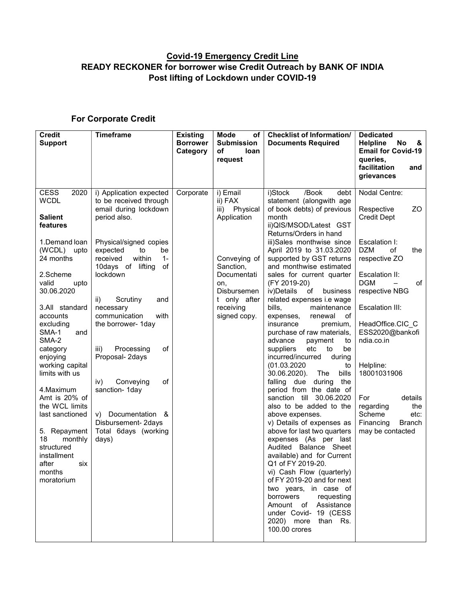## Covid-19 Emergency Credit Line READY RECKONER for borrower wise Credit Outreach by BANK OF INDIA Post lifting of Lockdown under COVID-19

## For Corporate Credit

| <b>Credit</b><br><b>Support</b>                                                                                                                          | <b>Timeframe</b>                                                                                                     | <b>Existing</b><br><b>Borrower</b><br>Category | <b>Mode</b><br>of<br><b>Submission</b><br>οf<br>loan<br>request | <b>Checklist of Information/</b><br><b>Documents Required</b>                                                                                                                                                                                                                                                                                                                                                                                         | <b>Dedicated</b><br>No<br><b>Helpline</b><br>&<br><b>Email for Covid-19</b><br>queries.<br>facilitation<br>and<br><b>arievances</b> |
|----------------------------------------------------------------------------------------------------------------------------------------------------------|----------------------------------------------------------------------------------------------------------------------|------------------------------------------------|-----------------------------------------------------------------|-------------------------------------------------------------------------------------------------------------------------------------------------------------------------------------------------------------------------------------------------------------------------------------------------------------------------------------------------------------------------------------------------------------------------------------------------------|-------------------------------------------------------------------------------------------------------------------------------------|
| CESS<br>2020<br><b>WCDL</b><br><b>Salient</b><br>features                                                                                                | i) Application expected<br>to be received through<br>email during lockdown<br>period also.                           | Corporate                                      | i) Email<br>ii) FAX<br>iii) Physical<br>Application             | i)Stock<br>/Book<br>debt<br>statement (alongwith age<br>of book debts) of previous<br>month<br>ii)QIS/MSOD/Latest GST<br>Returns/Orders in hand                                                                                                                                                                                                                                                                                                       | Nodal Centre:<br>Respective<br>ZO.<br><b>Credit Dept</b>                                                                            |
| 1.Demand loan<br>(WCDL) upto<br>24 months<br>2.Scheme<br>valid<br>upto                                                                                   | Physical/signed copies<br>expected<br>to<br>be<br>within<br>$1 -$<br>received<br>10days of lifting<br>of<br>lockdown |                                                | Conveying of<br>Sanction,<br>Documentati<br>on,                 | iii)Sales monthwise since<br>April 2019 to 31.03.2020<br>supported by GST returns<br>and monthwise estimated<br>sales for current quarter<br>(FY 2019-20)                                                                                                                                                                                                                                                                                             | Escalation I:<br><b>DZM</b><br>of<br>the<br>respective ZO<br>Escalation II:<br><b>DGM</b><br>of                                     |
| 30.06.2020<br>3.All standard<br>accounts<br>excluding<br>SMA-1<br>and<br>SMA-2<br>category                                                               | Scrutiny<br>ii)<br>and<br>necessary<br>communication<br>with<br>the borrower- 1day<br>of<br>iii)<br>Processing       |                                                | <b>Disbursemen</b><br>t only after<br>receiving<br>signed copy. | iv)Details<br>of<br>business<br>related expenses i.e wage<br>bills,<br>maintenance<br>renewal<br>expenses,<br>оf<br>insurance<br>premium,<br>purchase of raw materials,<br>advance<br>payment<br>to<br>suppliers<br>etc<br>be<br>to                                                                                                                                                                                                                   | respective NBG<br>Escalation III:<br>HeadOffice.CIC C<br>ESS2020@bankofi<br>ndia.co.in                                              |
| enjoying<br>working capital<br>limits with us<br>4. Maximum                                                                                              | Proposal- 2days<br>Conveying<br>οf<br>iv)<br>sanction- 1day                                                          |                                                |                                                                 | incurred/incurred<br>during<br>(01.03.2020)<br>to<br>bills<br>30.06.2020).<br>The<br>falling due<br>during<br>the<br>period from the date of                                                                                                                                                                                                                                                                                                          | Helpline:<br>18001031906                                                                                                            |
| Amt is 20% of<br>the WCL limits<br>last sanctioned<br>5. Repayment<br>18<br>monthly<br>structured<br>installment<br>after<br>six<br>months<br>moratorium | Documentation &<br>V)<br>Disbursement- 2days<br>Total 6days (working<br>days)                                        |                                                |                                                                 | sanction till<br>30.06.2020<br>also to be added to the<br>above expenses.<br>v) Details of expenses as<br>above for last two quarters<br>expenses (As per last<br>Audited Balance Sheet<br>available) and for Current<br>Q1 of FY 2019-20.<br>vi) Cash Flow (quarterly)<br>of FY 2019-20 and for next<br>two years, in case of<br>borrowers<br>requesting<br>Amount of Assistance<br>under Covid- 19 (CESS<br>than Rs.<br>2020) more<br>100.00 crores | For<br>details<br>the<br>regarding<br>Scheme<br>etc.<br>Financing<br>Branch<br>may be contacted                                     |